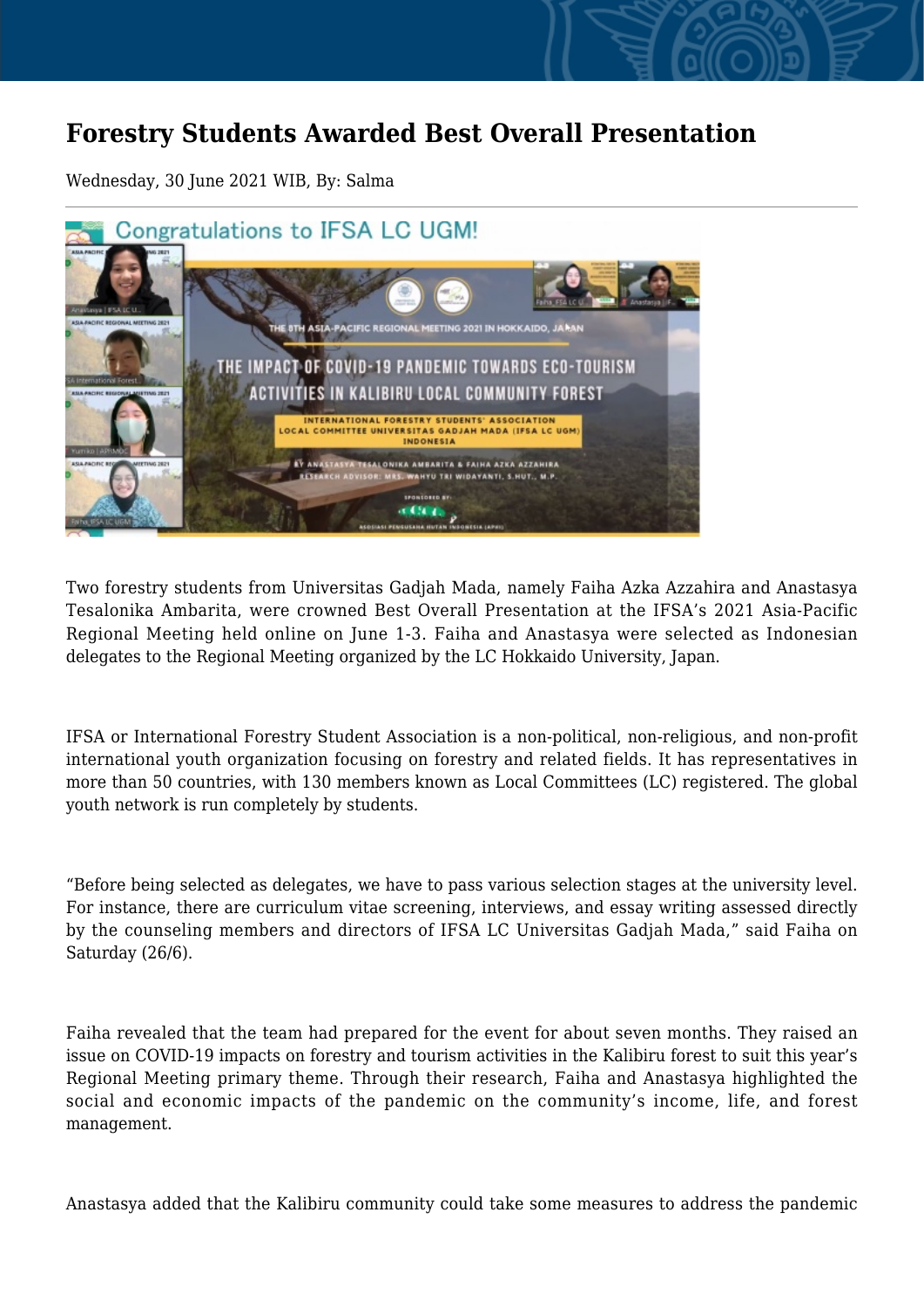## **Forestry Students Awarded Best Overall Presentation**

Wednesday, 30 June 2021 WIB, By: Salma



Two forestry students from Universitas Gadjah Mada, namely Faiha Azka Azzahira and Anastasya Tesalonika Ambarita, were crowned Best Overall Presentation at the IFSA's 2021 Asia-Pacific Regional Meeting held online on June 1-3. Faiha and Anastasya were selected as Indonesian delegates to the Regional Meeting organized by the LC Hokkaido University, Japan.

IFSA or International Forestry Student Association is a non-political, non-religious, and non-profit international youth organization focusing on forestry and related fields. It has representatives in more than 50 countries, with 130 members known as Local Committees (LC) registered. The global youth network is run completely by students.

"Before being selected as delegates, we have to pass various selection stages at the university level. For instance, there are curriculum vitae screening, interviews, and essay writing assessed directly by the counseling members and directors of IFSA LC Universitas Gadjah Mada," said Faiha on Saturday (26/6).

Faiha revealed that the team had prepared for the event for about seven months. They raised an issue on COVID-19 impacts on forestry and tourism activities in the Kalibiru forest to suit this year's Regional Meeting primary theme. Through their research, Faiha and Anastasya highlighted the social and economic impacts of the pandemic on the community's income, life, and forest management.

Anastasya added that the Kalibiru community could take some measures to address the pandemic